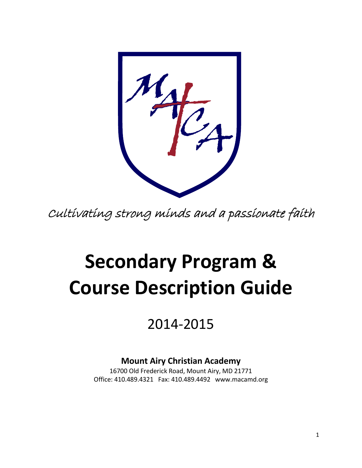Cultivating strong minds and a passionate faith

# **Secondary Program & Course Description Guide**

## 2014-2015

### **Mount Airy Christian Academy**

16700 Old Frederick Road, Mount Airy, MD 21771 Office: 410.489.4321 Fax: 410.489.4492 www.macamd.org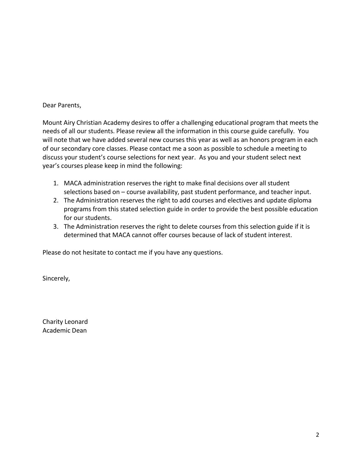#### Dear Parents,

Mount Airy Christian Academy desires to offer a challenging educational program that meets the needs of all our students. Please review all the information in this course guide carefully. You will note that we have added several new courses this year as well as an honors program in each of our secondary core classes. Please contact me a soon as possible to schedule a meeting to discuss your student's course selections for next year. As you and your student select next year's courses please keep in mind the following:

- 1. MACA administration reserves the right to make final decisions over all student selections based on – course availability, past student performance, and teacher input.
- 2. The Administration reserves the right to add courses and electives and update diploma programs from this stated selection guide in order to provide the best possible education for our students.
- 3. The Administration reserves the right to delete courses from this selection guide if it is determined that MACA cannot offer courses because of lack of student interest.

Please do not hesitate to contact me if you have any questions.

Sincerely,

Charity Leonard Academic Dean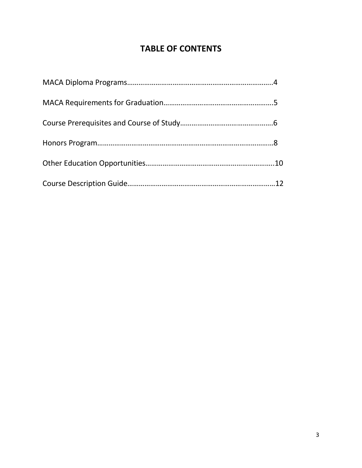#### **TABLE OF CONTENTS**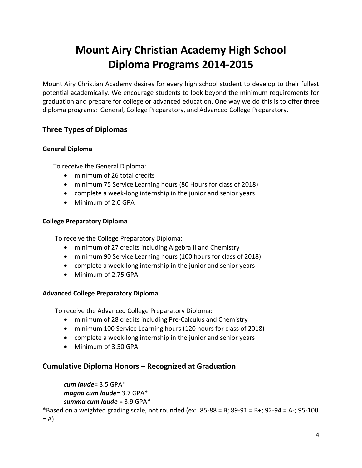### **Mount Airy Christian Academy High School Diploma Programs 2014-2015**

Mount Airy Christian Academy desires for every high school student to develop to their fullest potential academically. We encourage students to look beyond the minimum requirements for graduation and prepare for college or advanced education. One way we do this is to offer three diploma programs: General, College Preparatory, and Advanced College Preparatory.

#### **Three Types of Diplomas**

#### **General Diploma**

To receive the General Diploma:

- minimum of 26 total credits
- minimum 75 Service Learning hours (80 Hours for class of 2018)
- complete a week-long internship in the junior and senior years
- Minimum of 2.0 GPA

#### **College Preparatory Diploma**

To receive the College Preparatory Diploma:

- minimum of 27 credits including Algebra II and Chemistry
- minimum 90 Service Learning hours (100 hours for class of 2018)
- complete a week-long internship in the junior and senior years
- Minimum of 2.75 GPA

#### **Advanced College Preparatory Diploma**

To receive the Advanced College Preparatory Diploma:

- minimum of 28 credits including Pre-Calculus and Chemistry
- minimum 100 Service Learning hours (120 hours for class of 2018)
- complete a week-long internship in the junior and senior years
- Minimum of 3.50 GPA

#### **Cumulative Diploma Honors – Recognized at Graduation**

```
cum laude= 3.5 GPA*
magna cum laude= 3.7 GPA*
summa cum laude = 3.9 GPA*
```
\*Based on a weighted grading scale, not rounded (ex:  $85-88 = B$ ;  $89-91 = B+$ ;  $92-94 = A-$ ;  $95-100$ 

 $= A$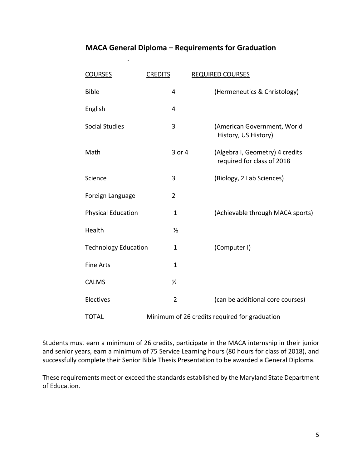#### **MACA General Diploma – Requirements for Graduation**

| <b>COURSES</b>              | <b>CREDITS</b> | <b>REQUIRED COURSES</b>                                       |
|-----------------------------|----------------|---------------------------------------------------------------|
| <b>Bible</b>                | 4              | (Hermeneutics & Christology)                                  |
| English                     | 4              |                                                               |
| <b>Social Studies</b>       | 3              | (American Government, World<br>History, US History)           |
| Math                        | 3 or 4         | (Algebra I, Geometry) 4 credits<br>required for class of 2018 |
| Science                     | 3              | (Biology, 2 Lab Sciences)                                     |
| Foreign Language            | $\overline{2}$ |                                                               |
| <b>Physical Education</b>   | $\mathbf{1}$   | (Achievable through MACA sports)                              |
| Health                      | $\frac{1}{2}$  |                                                               |
| <b>Technology Education</b> | $\mathbf{1}$   | (Computer I)                                                  |
| <b>Fine Arts</b>            | $\mathbf{1}$   |                                                               |
| <b>CALMS</b>                | $\frac{1}{2}$  |                                                               |
| Electives                   | $\overline{2}$ | (can be additional core courses)                              |
| <b>TOTAL</b>                |                | Minimum of 26 credits required for graduation                 |

Students must earn a minimum of 26 credits, participate in the MACA internship in their junior and senior years, earn a minimum of 75 Service Learning hours (80 hours for class of 2018), and successfully complete their Senior Bible Thesis Presentation to be awarded a General Diploma.

These requirements meet or exceed the standards established by the Maryland State Department of Education.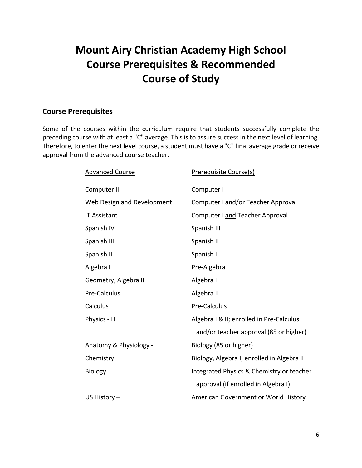### **Mount Airy Christian Academy High School Course Prerequisites & Recommended Course of Study**

#### **Course Prerequisites**

Some of the courses within the curriculum require that students successfully complete the preceding course with at least a "C" average. This is to assure success in the next level of learning. Therefore, to enter the next level course, a student must have a "C" final average grade or receive approval from the advanced course teacher.

| <b>Advanced Course</b>     | Prerequisite Course(s)                     |
|----------------------------|--------------------------------------------|
| Computer II                | Computer I                                 |
| Web Design and Development | Computer I and/or Teacher Approval         |
| <b>IT Assistant</b>        | Computer I and Teacher Approval            |
| Spanish IV                 | Spanish III                                |
| Spanish III                | Spanish II                                 |
| Spanish II                 | Spanish I                                  |
| Algebra I                  | Pre-Algebra                                |
| Geometry, Algebra II       | Algebra I                                  |
| Pre-Calculus               | Algebra II                                 |
| Calculus                   | Pre-Calculus                               |
| Physics - H                | Algebra I & II; enrolled in Pre-Calculus   |
|                            | and/or teacher approval (85 or higher)     |
| Anatomy & Physiology -     | Biology (85 or higher)                     |
| Chemistry                  | Biology, Algebra I; enrolled in Algebra II |
| <b>Biology</b>             | Integrated Physics & Chemistry or teacher  |
|                            | approval (if enrolled in Algebra I)        |
| US History $-$             | American Government or World History       |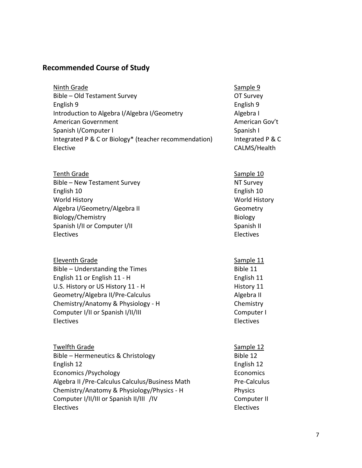#### **Recommended Course of Study**

| Ninth Grade                                           | Sample 9  |
|-------------------------------------------------------|-----------|
| Bible - Old Testament Survey                          | OT Surve  |
| English 9                                             | English 9 |
| Introduction to Algebra I/Algebra I/Geometry          | Algebra I |
| American Government                                   | Americar  |
| Spanish I/Computer I                                  | Spanish I |
| Integrated P & C or Biology* (teacher recommendation) | Integrate |
| Elective                                              | CALMS/F   |

- Tenth Grade Sample 10 Bible – New Testament Survey NT Survey English 10 English 10 World History World History Algebra I/Geometry/Algebra II Geometry Biology/Chemistry and the extent of the Biology Biology Spanish I/II or Computer I/II Spanish II Spanish II Electives Electives
- Eleventh Grade Sample 11 Bible – Understanding the Times Bible 11 English 11 or English 11 - H English 11 U.S. History or US History 11 - H History 11 Geometry/Algebra II/Pre-Calculus Algebra II Chemistry/Anatomy & Physiology - H Chemistry
- Twelfth Grade Sample 12 Bible – Hermeneutics & Christology Bible 12 English 12 English 12 Economics /Psychology **Economics** Economics Algebra II / Pre-Calculus Calculus / Business Math Pre-Calculus Chemistry/Anatomy & Physiology/Physics - H Physics Computer I/II/III or Spanish II/III /IV Computer II Electives Electives

Sample 9 OT Survey English 9 Algebra I American Gov't Integrated P & C CALMS/Health

- 
- Computer I/II or Spanish I/II/III Computer I Electives Electives
	-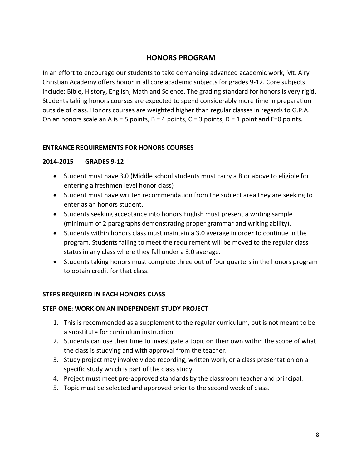#### **HONORS PROGRAM**

In an effort to encourage our students to take demanding advanced academic work, Mt. Airy Christian Academy offers honor in all core academic subjects for grades 9-12. Core subjects include: Bible, History, English, Math and Science. The grading standard for honors is very rigid. Students taking honors courses are expected to spend considerably more time in preparation outside of class. Honors courses are weighted higher than regular classes in regards to G.P.A. On an honors scale an A is = 5 points,  $B = 4$  points,  $C = 3$  points,  $D = 1$  point and F=0 points.

#### **ENTRANCE REQUIREMENTS FOR HONORS COURSES**

#### **2014-2015 GRADES 9-12**

- Student must have 3.0 (Middle school students must carry a B or above to eligible for entering a freshmen level honor class)
- Student must have written recommendation from the subject area they are seeking to enter as an honors student.
- Students seeking acceptance into honors English must present a writing sample (minimum of 2 paragraphs demonstrating proper grammar and writing ability).
- Students within honors class must maintain a 3.0 average in order to continue in the program. Students failing to meet the requirement will be moved to the regular class status in any class where they fall under a 3.0 average.
- Students taking honors must complete three out of four quarters in the honors program to obtain credit for that class.

#### **STEPS REQUIRED IN EACH HONORS CLASS**

#### **STEP ONE: WORK ON AN INDEPENDENT STUDY PROJECT**

- 1. This is recommended as a supplement to the regular curriculum, but is not meant to be a substitute for curriculum instruction
- 2. Students can use their time to investigate a topic on their own within the scope of what the class is studying and with approval from the teacher.
- 3. Study project may involve video recording, written work, or a class presentation on a specific study which is part of the class study.
- 4. Project must meet pre-approved standards by the classroom teacher and principal.
- 5. Topic must be selected and approved prior to the second week of class.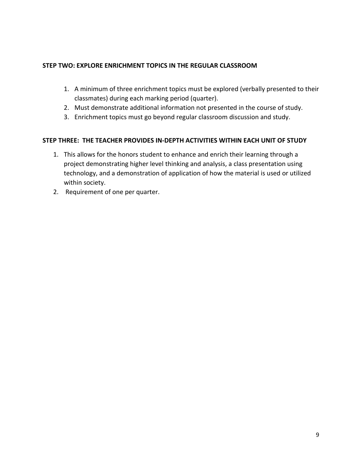#### **STEP TWO: EXPLORE ENRICHMENT TOPICS IN THE REGULAR CLASSROOM**

- 1. A minimum of three enrichment topics must be explored (verbally presented to their classmates) during each marking period (quarter).
- 2. Must demonstrate additional information not presented in the course of study.
- 3. Enrichment topics must go beyond regular classroom discussion and study.

#### **STEP THREE: THE TEACHER PROVIDES IN-DEPTH ACTIVITIES WITHIN EACH UNIT OF STUDY**

- 1. This allows for the honors student to enhance and enrich their learning through a project demonstrating higher level thinking and analysis, a class presentation using technology, and a demonstration of application of how the material is used or utilized within society.
- 2. Requirement of one per quarter.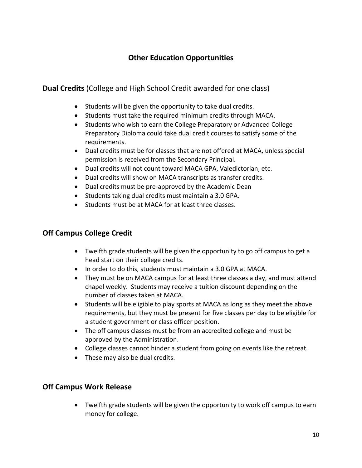#### **Other Education Opportunities**

**Dual Credits** (College and High School Credit awarded for one class)

- Students will be given the opportunity to take dual credits.
- Students must take the required minimum credits through MACA.
- Students who wish to earn the College Preparatory or Advanced College Preparatory Diploma could take dual credit courses to satisfy some of the requirements.
- Dual credits must be for classes that are not offered at MACA, unless special permission is received from the Secondary Principal.
- Dual credits will not count toward MACA GPA, Valedictorian, etc.
- Dual credits will show on MACA transcripts as transfer credits.
- Dual credits must be pre-approved by the Academic Dean
- Students taking dual credits must maintain a 3.0 GPA.
- Students must be at MACA for at least three classes.

#### **Off Campus College Credit**

- Twelfth grade students will be given the opportunity to go off campus to get a head start on their college credits.
- In order to do this, students must maintain a 3.0 GPA at MACA.
- They must be on MACA campus for at least three classes a day, and must attend chapel weekly. Students may receive a tuition discount depending on the number of classes taken at MACA.
- Students will be eligible to play sports at MACA as long as they meet the above requirements, but they must be present for five classes per day to be eligible for a student government or class officer position.
- The off campus classes must be from an accredited college and must be approved by the Administration.
- College classes cannot hinder a student from going on events like the retreat.
- These may also be dual credits.

#### **Off Campus Work Release**

 Twelfth grade students will be given the opportunity to work off campus to earn money for college.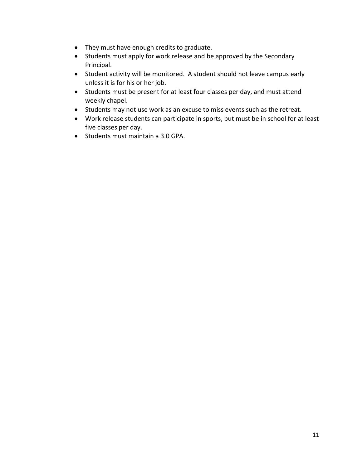- They must have enough credits to graduate.
- Students must apply for work release and be approved by the Secondary Principal.
- Student activity will be monitored. A student should not leave campus early unless it is for his or her job.
- Students must be present for at least four classes per day, and must attend weekly chapel.
- Students may not use work as an excuse to miss events such as the retreat.
- Work release students can participate in sports, but must be in school for at least five classes per day.
- Students must maintain a 3.0 GPA.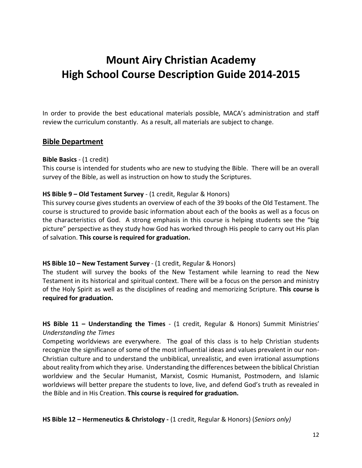### **Mount Airy Christian Academy High School Course Description Guide 2014-2015**

In order to provide the best educational materials possible, MACA's administration and staff review the curriculum constantly. As a result, all materials are subject to change.

#### **Bible Department**

#### **Bible Basics** - (1 credit)

This course is intended for students who are new to studying the Bible. There will be an overall survey of the Bible, as well as instruction on how to study the Scriptures.

#### **HS Bible 9 – Old Testament Survey** - (1 credit, Regular & Honors)

This survey course gives students an overview of each of the 39 books of the Old Testament. The course is structured to provide basic information about each of the books as well as a focus on the characteristics of God. A strong emphasis in this course is helping students see the "big picture" perspective as they study how God has worked through His people to carry out His plan of salvation. **This course is required for graduation.**

#### **HS Bible 10 – New Testament Survey** - (1 credit, Regular & Honors)

The student will survey the books of the New Testament while learning to read the New Testament in its historical and spiritual context. There will be a focus on the person and ministry of the Holy Spirit as well as the disciplines of reading and memorizing Scripture. **This course is required for graduation.**

**HS Bible 11 – Understanding the Times** - (1 credit, Regular & Honors) Summit Ministries' *Understanding the Times*

Competing worldviews are everywhere. The goal of this class is to help Christian students recognize the significance of some of the most influential ideas and values prevalent in our non-Christian culture and to understand the unbiblical, unrealistic, and even irrational assumptions about reality from which they arise. Understanding the differences between the biblical Christian worldview and the Secular Humanist, Marxist, Cosmic Humanist, Postmodern, and Islamic worldviews will better prepare the students to love, live, and defend God's truth as revealed in the Bible and in His Creation. **This course is required for graduation.**

**HS Bible 12 – Hermeneutics & Christology -** (1 credit, Regular & Honors) (*Seniors only)*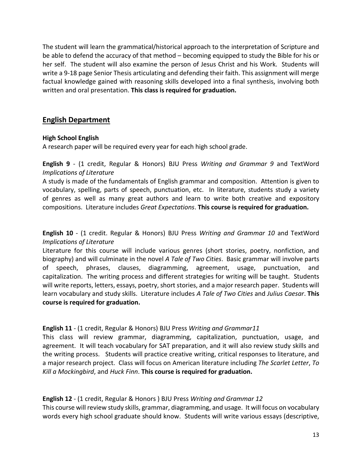The student will learn the grammatical/historical approach to the interpretation of Scripture and be able to defend the accuracy of that method – becoming equipped to study the Bible for his or her self. The student will also examine the person of Jesus Christ and his Work. Students will write a 9-18 page Senior Thesis articulating and defending their faith. This assignment will merge factual knowledge gained with reasoning skills developed into a final synthesis, involving both written and oral presentation. **This class is required for graduation.**

#### **English Department**

#### **High School English**

A research paper will be required every year for each high school grade.

**English 9** - (1 credit, Regular & Honors) BJU Press *Writing and Grammar 9* and TextWord *Implications of Literature*

A study is made of the fundamentals of English grammar and composition. Attention is given to vocabulary, spelling, parts of speech, punctuation, etc. In literature, students study a variety of genres as well as many great authors and learn to write both creative and expository compositions. Literature includes *Great Expectations*. **This course is required for graduation.**

**English 10** - (1 credit. Regular & Honors) BJU Press *Writing and Grammar 10* and TextWord *Implications of Literature*

Literature for this course will include various genres (short stories, poetry, nonfiction, and biography) and will culminate in the novel *A Tale of Two Cities*. Basic grammar will involve parts of speech, phrases, clauses, diagramming, agreement, usage, punctuation, and capitalization. The writing process and different strategies for writing will be taught. Students will write reports, letters, essays, poetry, short stories, and a major research paper. Students will learn vocabulary and study skills. Literature includes *A Tale of Two Cities* and *Julius Caesar*. **This course is required for graduation.**

#### **English 11** - (1 credit, Regular & Honors) BJU Press *Writing and Grammar11*

This class will review grammar, diagramming, capitalization, punctuation, usage, and agreement. It will teach vocabulary for SAT preparation, and it will also review study skills and the writing process. Students will practice creative writing, critical responses to literature, and a major research project. Class will focus on American literature including *The Scarlet Letter*, *To Kill a Mockingbird*, and *Huck Finn*. **This course is required for graduation.**

#### **English 12** - (1 credit, Regular & Honors ) BJU Press *Writing and Grammar 12*

This course will review study skills, grammar, diagramming, and usage. It will focus on vocabulary words every high school graduate should know. Students will write various essays (descriptive,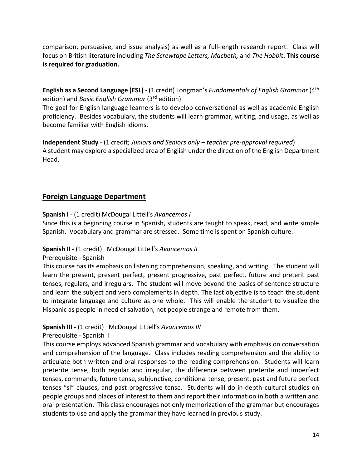comparison, persuasive, and issue analysis) as well as a full-length research report. Class will focus on British literature including *The Screwtape Letters, Macbeth,* and *The Hobbit*. **This course is required for graduation.**

**English as a Second Language (ESL)** - (1 credit) Longman's *Fundamentals of English Grammar* (4th edition) and *Basic English Grammar* (3rd edition)

The goal for English language learners is to develop conversational as well as academic English proficiency. Besides vocabulary, the students will learn grammar, writing, and usage, as well as become familiar with English idioms.

**Independent Study** - (1 credit; *Juniors and Seniors only – teacher pre-approval required*) A student may explore a specialized area of English under the direction of the English Department Head.

#### **Foreign Language Department**

**Spanish I** - (1 credit) McDougal Littell's *Avancemos I*

Since this is a beginning course in Spanish, students are taught to speak, read, and write simple Spanish. Vocabulary and grammar are stressed. Some time is spent on Spanish culture.

#### **Spanish II** - (1 credit) McDougal Littell's *Avancemos II*

Prerequisite - Spanish I

This course has its emphasis on listening comprehension, speaking, and writing. The student will learn the present, present perfect, present progressive, past perfect, future and preterit past tenses, regulars, and irregulars. The student will move beyond the basics of sentence structure and learn the subject and verb complements in depth. The last objective is to teach the student to integrate language and culture as one whole. This will enable the student to visualize the Hispanic as people in need of salvation, not people strange and remote from them.

#### **Spanish III** - (1 credit) McDougal Littell's *Avancemos III*

Prerequisite - Spanish II

This course employs advanced Spanish grammar and vocabulary with emphasis on conversation and comprehension of the language. Class includes reading comprehension and the ability to articulate both written and oral responses to the reading comprehension. Students will learn preterite tense, both regular and irregular, the difference between preterite and imperfect tenses, commands, future tense, subjunctive, conditional tense, present, past and future perfect tenses "si" clauses, and past progressive tense. Students will do in-depth cultural studies on people groups and places of interest to them and report their information in both a written and oral presentation. This class encourages not only memorization of the grammar but encourages students to use and apply the grammar they have learned in previous study.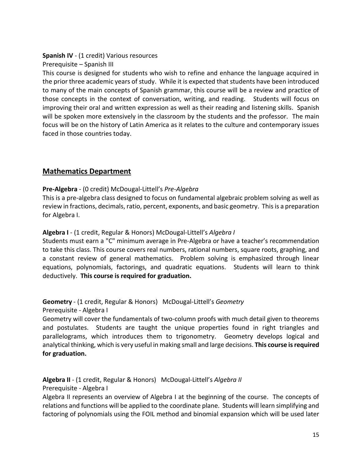#### **Spanish IV** - (1 credit) Various resources

Prerequisite – Spanish III

This course is designed for students who wish to refine and enhance the language acquired in the prior three academic years of study. While it is expected that students have been introduced to many of the main concepts of Spanish grammar, this course will be a review and practice of those concepts in the context of conversation, writing, and reading. Students will focus on improving their oral and written expression as well as their reading and listening skills. Spanish will be spoken more extensively in the classroom by the students and the professor. The main focus will be on the history of Latin America as it relates to the culture and contemporary issues faced in those countries today.

#### **Mathematics Department**

#### **Pre-Algebra** - (0 credit) McDougal-Littell's *Pre-Algebra*

This is a pre-algebra class designed to focus on fundamental algebraic problem solving as well as review in fractions, decimals, ratio, percent, exponents, and basic geometry. This is a preparation for Algebra I.

#### **Algebra I** - (1 credit, Regular & Honors) McDougal-Littell's *Algebra I*

Students must earn a "C" minimum average in Pre-Algebra or have a teacher's recommendation to take this class. This course covers real numbers, rational numbers, square roots, graphing, and a constant review of general mathematics. Problem solving is emphasized through linear equations, polynomials, factorings, and quadratic equations. Students will learn to think deductively. **This course is required for graduation.**

#### **Geometry** - (1 credit, Regular & Honors) McDougal-Littell's *Geometry*

Prerequisite - Algebra I

Geometry will cover the fundamentals of two-column proofs with much detail given to theorems and postulates. Students are taught the unique properties found in right triangles and parallelograms, which introduces them to trigonometry. Geometry develops logical and analytical thinking, which is very useful in making small and large decisions. **This course is required for graduation.**

**Algebra II** - (1 credit, Regular & Honors) McDougal-Littell's *Algebra II*

Prerequisite - Algebra I

Algebra II represents an overview of Algebra I at the beginning of the course. The concepts of relations and functions will be applied to the coordinate plane. Students will learn simplifying and factoring of polynomials using the FOIL method and binomial expansion which will be used later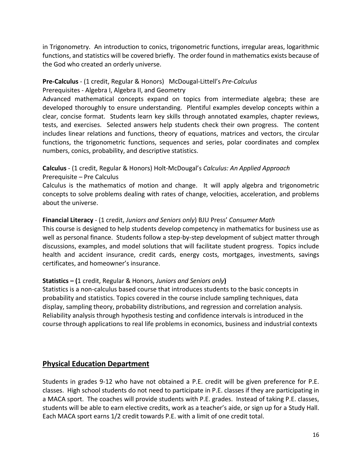in Trigonometry. An introduction to conics, trigonometric functions, irregular areas, logarithmic functions, and statistics will be covered briefly. The order found in mathematics exists because of the God who created an orderly universe.

#### **Pre-Calculus** - (1 credit, Regular & Honors) McDougal-Littell's *Pre-Calculus* Prerequisites - Algebra I, Algebra II, and Geometry

Advanced mathematical concepts expand on topics from intermediate algebra; these are developed thoroughly to ensure understanding. Plentiful examples develop concepts within a clear, concise format. Students learn key skills through annotated examples, chapter reviews, tests, and exercises. Selected answers help students check their own progress. The content includes linear relations and functions, theory of equations, matrices and vectors, the circular functions, the trigonometric functions, sequences and series, polar coordinates and complex numbers, conics, probability, and descriptive statistics.

#### **Calculus** - (1 credit, Regular & Honors) Holt-McDougal's *Calculus: An Applied Approach* Prerequisite – Pre Calculus

Calculus is the mathematics of motion and change. It will apply algebra and trigonometric concepts to solve problems dealing with rates of change, velocities, acceleration, and problems about the universe.

#### **Financial Literacy** - (1 credit, *Juniors and Seniors only*) BJU Press' *Consumer Math*

This course is designed to help students develop competency in mathematics for business use as well as personal finance. Students follow a step-by-step development of subject matter through discussions, examples, and model solutions that will facilitate student progress. Topics include health and accident insurance, credit cards, energy costs, mortgages, investments, savings certificates, and homeowner's insurance.

#### **Statistics – (**1 credit, Regular & Honors, *Juniors and Seniors only***)**

Statistics is a non-calculus based course that introduces students to the basic concepts in probability and statistics. Topics covered in the course include sampling techniques, data display, sampling theory, probability distributions, and regression and correlation analysis. Reliability analysis through hypothesis testing and confidence intervals is introduced in the course through applications to real life problems in economics, business and industrial contexts

#### **Physical Education Department**

Students in grades 9-12 who have not obtained a P.E. credit will be given preference for P.E. classes. High school students do not need to participate in P.E. classes if they are participating in a MACA sport. The coaches will provide students with P.E. grades. Instead of taking P.E. classes, students will be able to earn elective credits, work as a teacher's aide, or sign up for a Study Hall. Each MACA sport earns 1/2 credit towards P.E. with a limit of one credit total.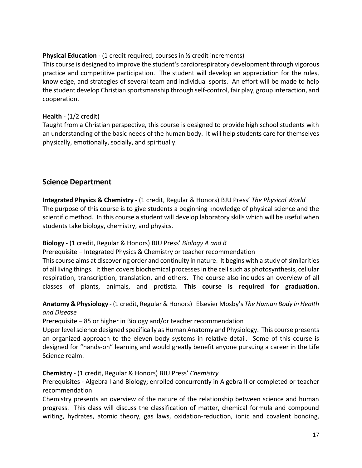#### **Physical Education** - (1 credit required; courses in  $\frac{1}{2}$  credit increments)

This course is designed to improve the student's cardiorespiratory development through vigorous practice and competitive participation. The student will develop an appreciation for the rules, knowledge, and strategies of several team and individual sports. An effort will be made to help the student develop Christian sportsmanship through self-control, fair play, group interaction, and cooperation.

#### **Health** - (1/2 credit)

Taught from a Christian perspective, this course is designed to provide high school students with an understanding of the basic needs of the human body. It will help students care for themselves physically, emotionally, socially, and spiritually.

#### **Science Department**

**Integrated Physics & Chemistry** - (1 credit, Regular & Honors) BJU Press' *The Physical World* The purpose of this course is to give students a beginning knowledge of physical science and the scientific method. In this course a student will develop laboratory skills which will be useful when students take biology, chemistry, and physics.

#### **Biology** - (1 credit, Regular & Honors) BJU Press' *Biology A and B*

Prerequisite – Integrated Physics & Chemistry or teacher recommendation

This course aims at discovering order and continuity in nature. It begins with a study of similarities of all living things. It then covers biochemical processes in the cell such as photosynthesis, cellular respiration, transcription, translation, and others. The course also includes an overview of all classes of plants, animals, and protista. **This course is required for graduation.**

#### **Anatomy & Physiology** - (1 credit, Regular & Honors) Elsevier Mosby's *The Human Body in Health and Disease*

Prerequisite – 85 or higher in Biology and/or teacher recommendation

Upper level science designed specifically as Human Anatomy and Physiology. This course presents an organized approach to the eleven body systems in relative detail. Some of this course is designed for "hands-on" learning and would greatly benefit anyone pursuing a career in the Life Science realm.

#### **Chemistry** - (1 credit, Regular & Honors) BJU Press' *Chemistry*

Prerequisites - Algebra I and Biology; enrolled concurrently in Algebra II or completed or teacher recommendation

Chemistry presents an overview of the nature of the relationship between science and human progress. This class will discuss the classification of matter, chemical formula and compound writing, hydrates, atomic theory, gas laws, oxidation-reduction, ionic and covalent bonding,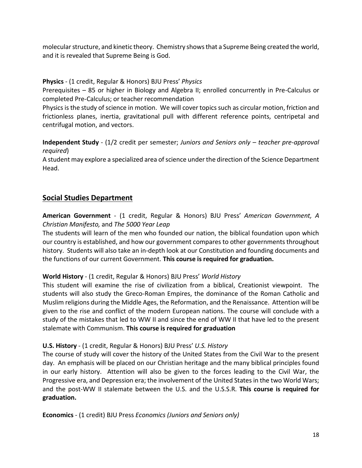molecular structure, and kinetic theory. Chemistry shows that a Supreme Being created the world, and it is revealed that Supreme Being is God.

#### **Physics** - (1 credit, Regular & Honors) BJU Press' *Physics*

Prerequisites – 85 or higher in Biology and Algebra II; enrolled concurrently in Pre-Calculus or completed Pre-Calculus; or teacher recommendation

Physics is the study of science in motion. We will cover topics such as circular motion, friction and frictionless planes, inertia, gravitational pull with different reference points, centripetal and centrifugal motion, and vectors.

**Independent Study** - (1/2 credit per semester; *Juniors and Seniors only – teacher pre-approval required*)

A student may explore a specialized area of science under the direction of the Science Department Head.

#### **Social Studies Department**

**American Government** - (1 credit, Regular & Honors) BJU Press' *American Government, A Christian Manifesto,* and *The 5000 Year Leap*

The students will learn of the men who founded our nation, the biblical foundation upon which our country is established, and how our government compares to other governments throughout history. Students will also take an in-depth look at our Constitution and founding documents and the functions of our current Government. **This course is required for graduation.**

#### **World History** - (1 credit, Regular & Honors) BJU Press' *World History*

This student will examine the rise of civilization from a biblical, Creationist viewpoint. The students will also study the Greco-Roman Empires, the dominance of the Roman Catholic and Muslim religions during the Middle Ages, the Reformation, and the Renaissance. Attention will be given to the rise and conflict of the modern European nations. The course will conclude with a study of the mistakes that led to WW II and since the end of WW II that have led to the present stalemate with Communism. **This course is required for graduation**

#### **U.S. History** - (1 credit, Regular & Honors) BJU Press' *U.S. History*

The course of study will cover the history of the United States from the Civil War to the present day. An emphasis will be placed on our Christian heritage and the many biblical principles found in our early history. Attention will also be given to the forces leading to the Civil War, the Progressive era, and Depression era; the involvement of the United States in the two World Wars; and the post-WW II stalemate between the U.S. and the U.S.S.R. **This course is required for graduation.**

**Economics** - (1 credit) BJU Press *Economics (Juniors and Seniors only)*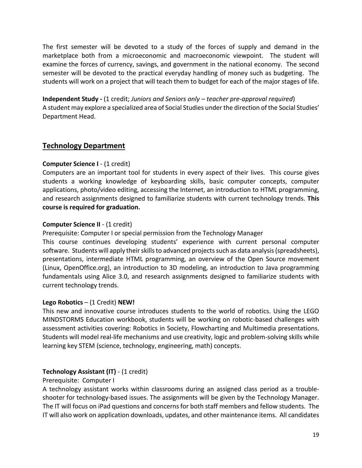The first semester will be devoted to a study of the forces of supply and demand in the marketplace both from a microeconomic and macroeconomic viewpoint. The student will examine the forces of currency, savings, and government in the national economy. The second semester will be devoted to the practical everyday handling of money such as budgeting. The students will work on a project that will teach them to budget for each of the major stages of life.

**Independent Study -** (1 credit; *Juniors and Seniors only – teacher pre-approval required*) A student may explore a specialized area of Social Studies under the direction of the Social Studies' Department Head.

#### **Technology Department**

#### **Computer Science I** - (1 credit)

Computers are an important tool for students in every aspect of their lives. This course gives students a working knowledge of keyboarding skills, basic computer concepts, computer applications, photo/video editing, accessing the Internet, an introduction to HTML programming, and research assignments designed to familiarize students with current technology trends. **This course is required for graduation.**

#### **Computer Science II - (1 credit)**

Prerequisite: Computer I or special permission from the Technology Manager

This course continues developing students' experience with current personal computer software. Students will apply their skills to advanced projects such as data analysis (spreadsheets), presentations, intermediate HTML programming, an overview of the Open Source movement (Linux, OpenOffice.org), an introduction to 3D modeling, an introduction to Java programming fundamentals using Alice 3.0, and research assignments designed to familiarize students with current technology trends.

#### **Lego Robotics** – (1 Credit) **NEW!**

This new and innovative course introduces students to the world of robotics. Using the LEGO MINDSTORMS Education workbook, students will be working on robotic-based challenges with assessment activities covering: Robotics in Society, Flowcharting and Multimedia presentations. Students will model real-life mechanisms and use creativity, logic and problem-solving skills while learning key STEM (science, technology, engineering, math) concepts.

#### **Technology Assistant (IT)** - (1 credit)

#### Prerequisite: Computer I

A technology assistant works within classrooms during an assigned class period as a troubleshooter for technology-based issues. The assignments will be given by the Technology Manager. The IT will focus on iPad questions and concerns for both staff members and fellow students. The IT will also work on application downloads, updates, and other maintenance items. All candidates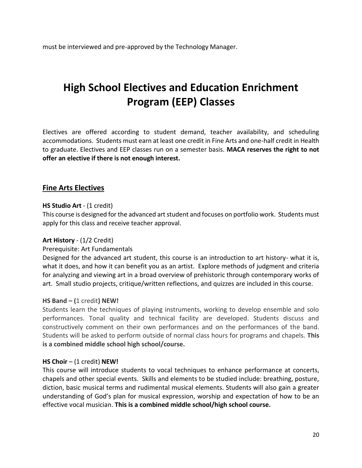must be interviewed and pre-approved by the Technology Manager.

### **High School Electives and Education Enrichment Program (EEP) Classes**

Electives are offered according to student demand, teacher availability, and scheduling accommodations. Students must earn at least one credit in Fine Arts and one-half credit in Health to graduate. Electives and EEP classes run on a semester basis. **MACA reserves the right to not offer an elective if there is not enough interest.**

#### **Fine Arts Electives**

#### **HS Studio Art** - (1 credit)

This course is designed for the advanced art student and focuses on portfolio work. Students must apply for this class and receive teacher approval.

#### **Art History** - (1/2 Credit)

#### Prerequisite: Art Fundamentals

Designed for the advanced art student, this course is an introduction to art history- what it is, what it does, and how it can benefit you as an artist. Explore methods of judgment and criteria for analyzing and viewing art in a broad overview of prehistoric through contemporary works of art. Small studio projects, critique/written reflections, and quizzes are included in this course.

#### **HS Band – (**1 credit**) NEW!**

Students learn the techniques of playing instruments, working to develop ensemble and solo performances. Tonal quality and technical facility are developed. Students discuss and constructively comment on their own performances and on the performances of the band. Students will be asked to perform outside of normal class hours for programs and chapels. **This is a combined middle school high school/course.**

#### **HS Choir** – (1 credit) **NEW!**

This course will introduce students to vocal techniques to enhance performance at concerts, chapels and other special events. Skills and elements to be studied include: breathing, posture, diction, basic musical terms and rudimental musical elements. Students will also gain a greater understanding of God's plan for musical expression, worship and expectation of how to be an effective vocal musician. **This is a combined middle school/high school course.**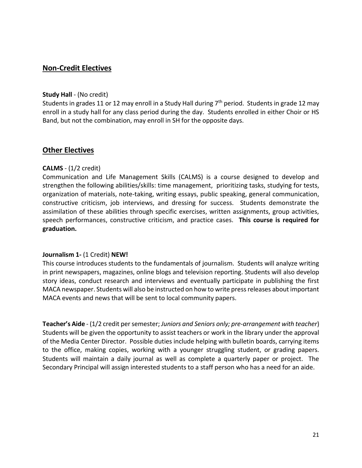#### **Non-Credit Electives**

#### **Study Hall** - (No credit)

Students in grades 11 or 12 may enroll in a Study Hall during 7<sup>th</sup> period. Students in grade 12 may enroll in a study hall for any class period during the day. Students enrolled in either Choir or HS Band, but not the combination, may enroll in SH for the opposite days.

#### **Other Electives**

#### **CALMS** - (1/2 credit)

Communication and Life Management Skills (CALMS) is a course designed to develop and strengthen the following abilities/skills: time management, prioritizing tasks, studying for tests, organization of materials, note-taking, writing essays, public speaking, general communication, constructive criticism, job interviews, and dressing for success. Students demonstrate the assimilation of these abilities through specific exercises, written assignments, group activities, speech performances, constructive criticism, and practice cases. **This course is required for graduation.**

#### **Journalism 1-** (1 Credit) **NEW!**

This course introduces students to the fundamentals of journalism. Students will analyze writing in print newspapers, magazines, online blogs and television reporting. Students will also develop story ideas, conduct research and interviews and eventually participate in publishing the first MACA newspaper. Students will also be instructed on how to write press releases about important MACA events and news that will be sent to local community papers.

**Teacher's Aide** - (1/2 credit per semester; *Juniors and Seniors only; pre-arrangement with teacher*) Students will be given the opportunity to assist teachers or work in the library under the approval of the Media Center Director. Possible duties include helping with bulletin boards, carrying items to the office, making copies, working with a younger struggling student, or grading papers. Students will maintain a daily journal as well as complete a quarterly paper or project. The Secondary Principal will assign interested students to a staff person who has a need for an aide.